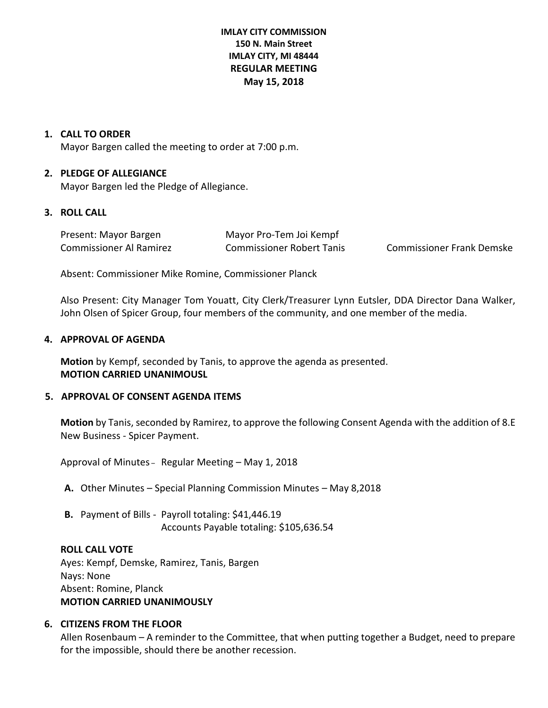## **IMLAY CITY COMMISSION 150 N. Main Street IMLAY CITY, MI 48444 REGULAR MEETING May 15, 2018**

### **1. CALL TO ORDER**

Mayor Bargen called the meeting to order at 7:00 p.m.

### **2. PLEDGE OF ALLEGIANCE**

Mayor Bargen led the Pledge of Allegiance.

## **3. ROLL CALL**

| Present: Mayor Bargen   | Mayor Pro-Tem Joi Kempf          |                                  |
|-------------------------|----------------------------------|----------------------------------|
| Commissioner Al Ramirez | <b>Commissioner Robert Tanis</b> | <b>Commissioner Frank Demske</b> |

Absent: Commissioner Mike Romine, Commissioner Planck

Also Present: City Manager Tom Youatt, City Clerk/Treasurer Lynn Eutsler, DDA Director Dana Walker, John Olsen of Spicer Group, four members of the community, and one member of the media.

### **4. APPROVAL OF AGENDA**

**Motion** by Kempf, seconded by Tanis, to approve the agenda as presented. **MOTION CARRIED UNANIMOUSL**

## **5. APPROVAL OF CONSENT AGENDA ITEMS**

**Motion** by Tanis, seconded by Ramirez, to approve the following Consent Agenda with the addition of 8.E New Business - Spicer Payment.

Approval of Minutes – Regular Meeting – May 1, 2018

**A.** Other Minutes – Special Planning Commission Minutes – May 8,2018

**B.** Payment of Bills - Payroll totaling: \$41,446.19 Accounts Payable totaling: \$105,636.54

#### **ROLL CALL VOTE**

Ayes: Kempf, Demske, Ramirez, Tanis, Bargen Nays: None Absent: Romine, Planck **MOTION CARRIED UNANIMOUSLY**

## **6. CITIZENS FROM THE FLOOR**

Allen Rosenbaum – A reminder to the Committee, that when putting together a Budget, need to prepare for the impossible, should there be another recession.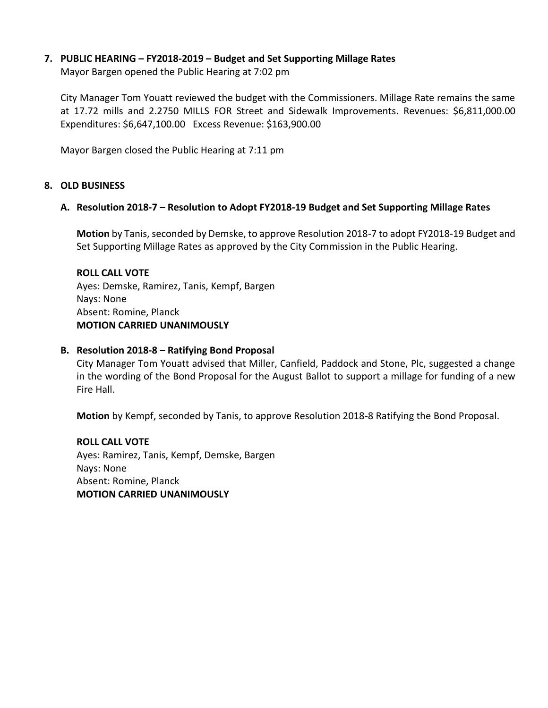## **7. PUBLIC HEARING – FY2018-2019 – Budget and Set Supporting Millage Rates**

Mayor Bargen opened the Public Hearing at 7:02 pm

City Manager Tom Youatt reviewed the budget with the Commissioners. Millage Rate remains the same at 17.72 mills and 2.2750 MILLS FOR Street and Sidewalk Improvements. Revenues: \$6,811,000.00 Expenditures: \$6,647,100.00 Excess Revenue: \$163,900.00

Mayor Bargen closed the Public Hearing at 7:11 pm

## **8. OLD BUSINESS**

## **A. Resolution 2018-7 – Resolution to Adopt FY2018-19 Budget and Set Supporting Millage Rates**

**Motion** by Tanis, seconded by Demske, to approve Resolution 2018-7 to adopt FY2018-19 Budget and Set Supporting Millage Rates as approved by the City Commission in the Public Hearing.

### **ROLL CALL VOTE**

Ayes: Demske, Ramirez, Tanis, Kempf, Bargen Nays: None Absent: Romine, Planck **MOTION CARRIED UNANIMOUSLY**

## **B. Resolution 2018-8 – Ratifying Bond Proposal**

City Manager Tom Youatt advised that Miller, Canfield, Paddock and Stone, Plc, suggested a change in the wording of the Bond Proposal for the August Ballot to support a millage for funding of a new Fire Hall.

**Motion** by Kempf, seconded by Tanis, to approve Resolution 2018-8 Ratifying the Bond Proposal.

**ROLL CALL VOTE** Ayes: Ramirez, Tanis, Kempf, Demske, Bargen Nays: None Absent: Romine, Planck **MOTION CARRIED UNANIMOUSLY**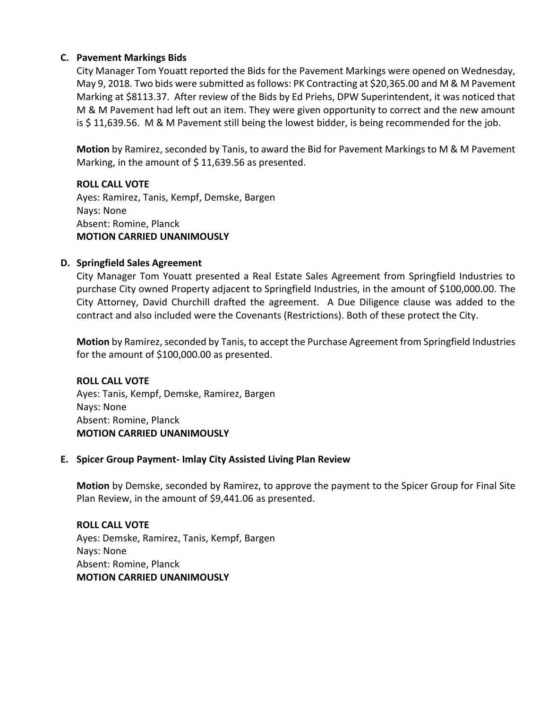## **C. Pavement Markings Bids**

City Manager Tom Youatt reported the Bids for the Pavement Markings were opened on Wednesday, May 9, 2018. Two bids were submitted as follows: PK Contracting at \$20,365.00 and M & M Pavement Marking at \$8113.37. After review of the Bids by Ed Priehs, DPW Superintendent, it was noticed that M & M Pavement had left out an item. They were given opportunity to correct and the new amount is \$ 11,639.56. M & M Pavement still being the lowest bidder, is being recommended for the job.

**Motion** by Ramirez, seconded by Tanis, to award the Bid for Pavement Markings to M & M Pavement Marking, in the amount of  $$11,639.56$  as presented.

## **ROLL CALL VOTE**

Ayes: Ramirez, Tanis, Kempf, Demske, Bargen Nays: None Absent: Romine, Planck **MOTION CARRIED UNANIMOUSLY**

## **D. Springfield Sales Agreement**

City Manager Tom Youatt presented a Real Estate Sales Agreement from Springfield Industries to purchase City owned Property adjacent to Springfield Industries, in the amount of \$100,000.00. The City Attorney, David Churchill drafted the agreement. A Due Diligence clause was added to the contract and also included were the Covenants (Restrictions). Both of these protect the City.

**Motion** by Ramirez, seconded by Tanis, to accept the Purchase Agreement from Springfield Industries for the amount of \$100,000.00 as presented.

**ROLL CALL VOTE** Ayes: Tanis, Kempf, Demske, Ramirez, Bargen Nays: None Absent: Romine, Planck **MOTION CARRIED UNANIMOUSLY**

## **E. Spicer Group Payment- Imlay City Assisted Living Plan Review**

**Motion** by Demske, seconded by Ramirez, to approve the payment to the Spicer Group for Final Site Plan Review, in the amount of \$9,441.06 as presented.

# **ROLL CALL VOTE** Ayes: Demske, Ramirez, Tanis, Kempf, Bargen Nays: None Absent: Romine, Planck **MOTION CARRIED UNANIMOUSLY**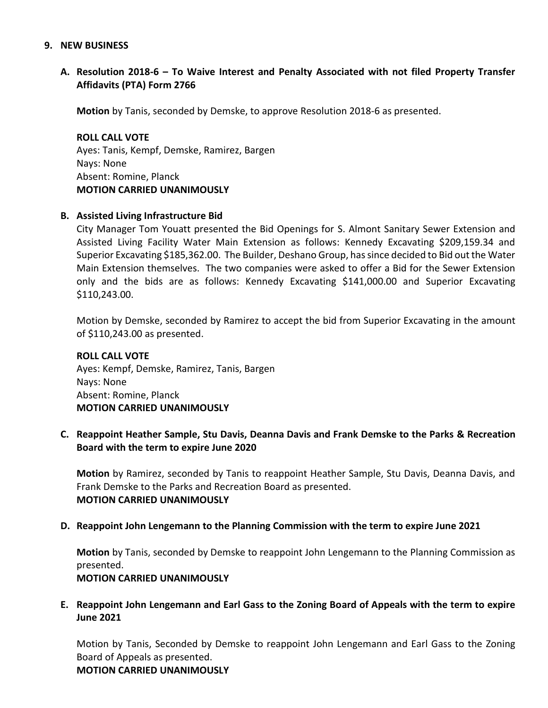#### **9. NEW BUSINESS**

**A. Resolution 2018-6 – To Waive Interest and Penalty Associated with not filed Property Transfer Affidavits (PTA) Form 2766**

**Motion** by Tanis, seconded by Demske, to approve Resolution 2018-6 as presented.

**ROLL CALL VOTE** Ayes: Tanis, Kempf, Demske, Ramirez, Bargen Nays: None Absent: Romine, Planck **MOTION CARRIED UNANIMOUSLY**

### **B. Assisted Living Infrastructure Bid**

City Manager Tom Youatt presented the Bid Openings for S. Almont Sanitary Sewer Extension and Assisted Living Facility Water Main Extension as follows: Kennedy Excavating \$209,159.34 and Superior Excavating \$185,362.00. The Builder, Deshano Group, has since decided to Bid out the Water Main Extension themselves. The two companies were asked to offer a Bid for the Sewer Extension only and the bids are as follows: Kennedy Excavating \$141,000.00 and Superior Excavating \$110,243.00.

Motion by Demske, seconded by Ramirez to accept the bid from Superior Excavating in the amount of \$110,243.00 as presented.

**ROLL CALL VOTE** Ayes: Kempf, Demske, Ramirez, Tanis, Bargen Nays: None Absent: Romine, Planck **MOTION CARRIED UNANIMOUSLY**

**C. Reappoint Heather Sample, Stu Davis, Deanna Davis and Frank Demske to the Parks & Recreation Board with the term to expire June 2020**

**Motion** by Ramirez, seconded by Tanis to reappoint Heather Sample, Stu Davis, Deanna Davis, and Frank Demske to the Parks and Recreation Board as presented. **MOTION CARRIED UNANIMOUSLY**

#### **D. Reappoint John Lengemann to the Planning Commission with the term to expire June 2021**

**Motion** by Tanis, seconded by Demske to reappoint John Lengemann to the Planning Commission as presented.

**MOTION CARRIED UNANIMOUSLY**

**E. Reappoint John Lengemann and Earl Gass to the Zoning Board of Appeals with the term to expire June 2021**

Motion by Tanis, Seconded by Demske to reappoint John Lengemann and Earl Gass to the Zoning Board of Appeals as presented.

#### **MOTION CARRIED UNANIMOUSLY**